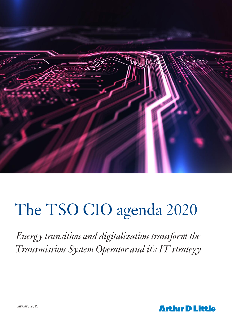

# The TSO CIO agenda 2020

*Energy transition and digitalization transform the Transmission System Operator and it's IT strategy* 

**Arthur D Little**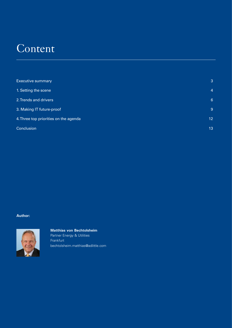## Content

| <b>Executive summary</b>              | 3              |
|---------------------------------------|----------------|
| 1. Setting the scene                  | $\overline{4}$ |
| 2. Trends and drivers                 | 6              |
| 3. Making IT future-proof             | 9              |
| 4. Three top priorities on the agenda | 12             |
| Conclusion                            | 13             |

## **Author:**



**Matthias von Bechtolsheim**

Partner Energy & Utilities Frankfurt bechtolsheim.matthias@adlittle.com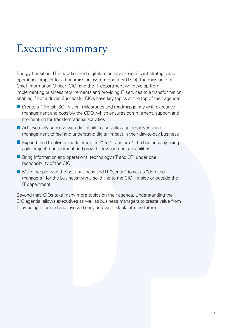## Executive summary

Energy transition, IT innovation and digitalization have a significant strategic and operational impact for a transmission system operator (TSO). The mission of a Chief Information Officer (CIO) and the IT department will develop from implementing business requirements and providing IT services to a transformation enabler, if not a driver. Successful CIOs have key topics at the top of their agenda:

- $\blacksquare$  Create a "Digital TSO" vision, milestones and roadmap jointly with executive management and possibly the CDO, which ensures commitment, support and momentum for transformational activities
- **n** Achieve early success with digital pilot cases allowing employees and management to feel and understand digital impact in their day-to-day business
- Expand the IT delivery model from "run" to "transform" the business by using agile project management and grow IT development capabilities
- Bring information and operational technology (IT and OT) under one responsibility of the CIO
- $\blacksquare$  Make people with the best business and IT "sense" to act as "demand managers" for the business with a solid line to the CIO – inside or outside the IT department

Beyond that, CIOs take many more topics on their agenda. Understanding the CIO agenda, allows executives as well as business managers to create value from IT by being informed and involved early and with a look into the future.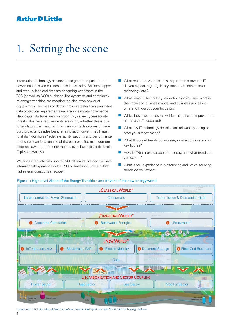## 1. Setting the scene

Information technology has never had greater impact on the power transmission business than it has today. Besides copper and steel, silicon and data are becoming key assets in the TSO (as well as DSO) business. The dynamics and complexity of energy transition are meeting the disruptive power of digitalization. The mass of data is growing faster than ever while data protection requirements require a clear data governance. New digital start-ups are mushrooming, as are cyber-security threats. Business requirements are rising, whether this is due to regulatory changes, new transmission technologies or newbuild projects. Besides being an innovation driver, IT still must fulfill its "workhorse" role: availability, security and performance to ensure seamless running of the business. Top management becomes aware of the fundamental, even business-critical, role IT plays nowadays.

We conducted interviews with TSO CIOs and included our own international experience in the TSO business in Europe, which had several questions in scope:

- $\blacksquare$  What market-driven business requirements towards IT do you expect, e.g. regulatory, standards, transmission technology etc.?
- $\blacksquare$  What major IT technology innovations do you see, what is the impact on business model and business processes, where will you put your focus on?
- $\blacksquare$  Which business processes will face significant improvement needs esp. IT-supported?
- $\blacksquare$  What key IT technology decision are relevant, pending or have you already made?
- **n** What IT budget trends do you see, where do you stand in key figures?
- $\blacksquare$  How is IT/business collaboration today, and what trends do you expect?
- $\blacksquare$  What is you experience in outsourcing and which sourcing trends do you expect?



## Figure 1: High-level Vision of the Energy Transition and drivers of the new energy world

Source: Arthur D. Little, Manuel Sánchez Jiménez, Commission Report European Smart Grids Technology Platform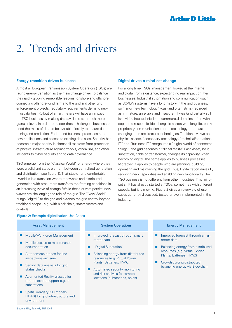## 2. Trends and drivers

#### **Energy transition drives business**

Almost all European Transmission System Operators (TSOs) are facing energy transition as the main change driver. To balance the rapidly growing renewable feed-ins, onshore and offshore, connecting offshore-wind farms to the grid and other grid enforcement projects, regulatory requirements demand new IT capabilities. Rollout of smart meters will have an impact the TSO business by making data available at a much more granular level. In order to master these challenges, businesses need the mass of data to be available flexibly to ensure data mining and prediction. End-to-end business processes need new applications and access to existing data silos. Security has become a major priority in almost all markets: from protection of physical infrastructure against attacks, vandalism, and other incidents to cyber security and to data governance.

TSO emerge from the "Classical World" of energy where they were a solid and static element between centralized generation and distribution (see figure 1). That stable - and comfortable - world is in a transition where renewable and distributed generation with prosumers transform the framing conditions in an increasing wave of change. While these drivers persist, new waves are challenging the role of the grid. The "New World" brings "digital" to the grid and extends the grid control beyond traditional scope - e.g. with block chain, smart meters and controls.

#### **Digital drives a mind-set change**

For a long time, TSOs' management looked at the internet and digital from a distance, expecting no real impact on their businesses. Industrial automation and communication (such as SCADA systems)have a long history in the grid business, so "fancy new technology" was (and often still is) regarded as immature, unreliable and insecure. IT was (and partially still is) divided into technical and commercial domains, often with separated responsibilities. Long-life assets with long-life, partly proprietary communication-control technology meet fastchanging open-architecture technologies. Traditional views on physical assets, "secondary technology", "technical/operational IT" and "business IT" merge into a "digital world of connected things": the grid becomes a "digital reality". Each asset, be it substation, cable or transformer, changes its capability when becoming digital. The same applies to business processes. Moreover, it applies to people who are planning, building, operating and maintaining the grid. Thus, Digitalization drives IT, requiring new capabilities and enabling new funcitonality. The TSO business is not different from other industries. This mindset shift has already started at TSOs, sometimes with different speeds, but it is moving. Figure 2 gives an overview of use cases currently discussed, tested or even implemented in the industry.

## Figure 2: Example digitalization Use Cases

- Mobile Workforce Management
- Mobile access to maintenance documentation
- Autonomous drones for line inspections (air, sea)
- Sensor data analysis for grid status checks
- Augmented Reality glasses for remote expert support e.g. in substations
- Spatial imagery (3D models, LIDAR) for grid infrastructure and environment

## **Asset Management Asset Management** System Operations

- Improved forecast through smart meter data
- ◼ "Digital Substation"
- Balancing energy from distributed resources (e.g. Virtual Power Plants, Batteries, HVAC)
- Automated security monitoring and risk analysis for remote locations (substations, poles)

### Energy Management

- Improved forecast through smart meter data
- Balancing energy from distributed resources (e.g. Virtual Power Plants, Batteries, HVAC)
- Crowdsourcing distributed balancing energy via Blockchain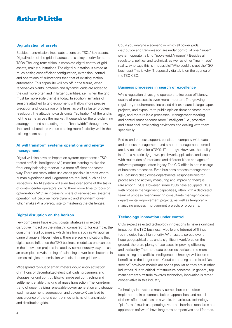### **Digitalization of assets**

Besides transmission lines, substations are TSOs' key assets. Digitalization of the grid infrastructure is a key priority for some TSOs. The long-term vision is complete digital control of grid assets, mainly substations. The digital substation is aimed at much easier, cost-efficient configuration, extension, control and operations of substations than that of existing station automation. This capability will pay off in the future, when renewables plants, batteries and dynamic loads are added to the grid more often and in larger quantities, i.e., when the grid must be more agile than it is today. In addition, armadas of sensors attached to grid equipment will allow more precise prediction and localization of failures, as well as faster problem resolution. The attitude towards digital "agilization" of the grid is not the same across the market. It depends on the grid-planning strategy or mind-set: adding more "bandwidth" through new lines and substations versus creating more flexibility within the existing asset set-up.

## **AI will transform systems operations and energy management**

Digital will also have an impact on system operations: a TSO tested artificial intelligence (AI) machine learning to size the frequency balancing reserve in a more efficient and faster way. There are many other use cases possible in areas where human experience and judgement are required, such as line inspection. An AI system will even take over some of the tasks of control-center operators, giving them more time to focus on optimization. With an increasing share of renewables, systems operation will become more dynamic and short-term driven, which makes AI a prerequisite to mastering the challenges.

### **Digital disruption on the horizon**

Few companies have explicit digital strategies or expect disruptive impact on the industry, compared to, for example, the consumer retail business, which has firms such as Amazon as game changers. Nevertheless, there are some indications that digital could influence the TSO business model, as one can see in the innovation projects initiated by some industry players: as an example, crowdsourcing of balancing power from batteries in homes mingles transmission with distribution grid level.

Widespread roll-out of smart meters would allow activation of millions of decentralized electrical loads, prosumers and storages for grid control. Blockchain-based contracting and settlement enable this kind of mass transaction. The long-term trend of decentralizing renewable power generation and storage, load management, aggregation and power-to-X can lead to convergence of the grid-control mechanisms of transmission and distribution grids.

Could you imagine a scenario in which all power grids, distribution and transmission are under control of one "super" system operator, a kind "power-grid Amazon"? Besides all regulatory, political and technical, as well as other "man-made" reality, who says this is impossible? Who could disrupt the TSO business? This is why IT, especially digital, is on the agenda of the TSO CEO.

#### **Business processes in search of excellence**

While regulation drives grid operators to increase efficiency, quality of processes is even more important. The growing regulatory requirements, increased risk exposure in large capex projects, and exposure to public opinion demand faster, more agile, and more reliable processes. Management steering and control must become more "intelligent", i.e., proactive and situational, anticipating deviations and dealing with them specifically.

End-to-end process support, consistent company-wide data and process management, and smarter management control are key objectives for a TSO's IT strategy. However, the reality is often a historically grown, patchwork application landscape with multitudes of interfaces and different kinds and ages of software packages, often legacy. The CIO office is not in charge of business processes. Even business process management (i.e., defining clear, cross-departmental responsibilities for processes and actively measuring and improving them) is rare among TSOs. However, some TSOs have equipped CIOs with process management capabilities, often with a dedicated team of process re-engineering consultants managing crossdepartmental improvement projects, as well as temporarily managing process improvement projects or programs.

### **Technology innovation under control**

CIOs expect selected technology innovations to have significant impact on the TSO business. Mobile and Internet of Things technologies have high priority. With assets spread over a huge geographical area and a significant workforce on the ground, there are plenty of use cases improving efficiency and availability. The more data becomes available, the more data mining and artificial intelligence technology will become beneficial in the longer term. Cloud computing and related "as-aservice" provision models are not as popular as they are in other industries, due to critical infrastructure concerns. In general, top management's attitude towards technology innovation is rather conservative in this industry.

Technology innovations mostly come short term, often implemented in piecemeal, bolt-on approaches, and not all of them affect business as a whole. In particular, technology "platforms" (such as operating systems, interface standards and application software) have long-term perspectives and lifetimes,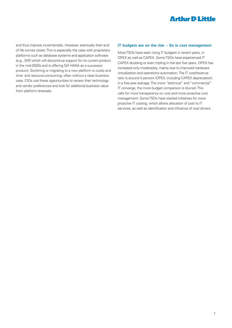and thus improve incrementally. However, eventually their end of life comes closer. This is especially the case with proprietary platforms such as database systems and application software (e.g., SAP, which will discontinue support for its current product in the mid-2020s and is offering S/4 HANA as a successor product). Switching or migrating to a new platform is costly and time- and resource-consuming, often without a clear business case. CIOs use these opportunities to review their technology and vendor preferences and look for additional business value from platform renewals.

### **IT budgets are on the rise – So is cost management**

Most TSOs have seen rising IT budgets in recent years, in OPEX as well as CAPEX. Some TSOs have experienced IT CAPEX doubling or even tripling in the last five years. OPEX has increased only moderately, mainly due to improved hardware virtualization and operations automation. The IT cost/revenue ratio is around 4 percent (OPEX, including CAPEX depreciation) in a five-year average. The more "technical" and "commercial" IT converge, the more budget comparison is blurred. This calls for more transparency on cost and more proactive cost management. Some TSOs have started initiatives for more proactive IT costing, which allows allocation of cost to IT services, as well as identification and influence of cost drivers.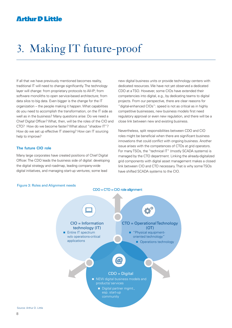## 3. Making IT future-proof

If all that we have previously mentioned becomes reality, traditional IT will need to change significantly. The technology layer will change: from proprietary protocols to All-IP; from software monoliths to open service-based architecture; from data silos to big data. Even bigger is the change for the IT organization – the people making it happen. What capabilities do you need to accomplish the transformation, on the IT side as well as in the business? Many questions arise: Do we need a Chief Digital Officer? What, then, will be the roles of the CIO and CTO? How do we become faster? What about "shadow IT"? How do we set up effective IT steering? How can IT sourcing help to improve?

## **The future CIO role**

Many large corporates have created positions of Chief Digital Officer. The CDO leads the business side of digital: developing the digital strategy and roadmap, leading company-wide digital initiatives, and managing start-up ventures; some lead

new digital business units or provide technology centers with dedicated resources. We have not yet observed a dedicated CDO at a TSO. However, some CIOs have extended their competencies into digital, e.g., by dedicating teams to digital projects. From our perspective, there are clear reasons for "digital-enhanced CIOs": speed is not as critical as in highly competitive businesses, new business models first need regulatory approval or even new regulation, and there will be a close link between new and existing business.

Nevertheless, split responsibilities between CDO and CIO roles might be beneficial when there are significant business innovations that could conflict with ongoing business. Another issue arises with the competences of CTOs at grid operators. For many TSOs, the "technical IT" (mostly SCADA systems) is managed by the CTO department. Linking the already-digitalized grid components with digital asset management makes a closed link between CIO and CTO necessary. That is why some TSOs have shifted SCADA systems to the CIO.



#### Figure 3: Roles and Alignment needs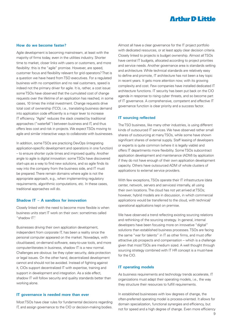### **How do we become faster?**

Agile development is becoming mainstream, at least with the majority of firms today, even in the utilities industry. Shorter time to market, closer links with users or customers, and more flexibility: this is the "agile" promise. However, are speed, customer focus and flexibility relevant for grid operators? That is a question we have heard from TSO executives. For a regulated business with no competition and no real customers, speed is indeed not the primary driver for agile. It is, rather, a cost issue: some TSOs have observed that the cumulated cost of change requests over the lifetime of an application has reached, in some cases, 10 times the initial investment. Change requests drive total cost of ownership (TCO), i.e., translating business demand into application code efficiently is a major lever to increase IT efficiency. "Agile" reduces the slack created by traditional approaches ("waterfall") between business and IT, and thus offers less cost and risk in projects. We expect TSOs moving to agile and similar interactive ways to collaborate with businesses.

In addition, some TSOs are practicing DevOps (integrating application-specific development and operations in one function) – to ensure shorter cycle times and improved quality. Another angle to agile is digital innovation: some TSOs have discovered start-ups as a way to find new solutions, and so agile finds its way into the company from the business side, and IT must be prepared. There remain domains where agile is not the appropriate approach, e.g., when implementing regulatory requirements, algorithmic computations, etc. In these cases, traditional approaches will do.

### **Shadow IT – A sandbox for innovation**

Closely linked with the need to become more flexible is when business units start IT work on their own: sometimes called "shadow IT".

Businesses driving their own application development, independent from corporate IT, has been a reality since the personal computer appeared on the market. Nowadays, with cloud-based, on-demand software, easy-to-use tools, and more computer-literates in business, shadow IT is a new normal. Challenges are obvious: be they cyber security, data protection or legal issues. On the other hand, decentralized development cannot and should not be avoided. Instead of fighting against it, CIOs support decentralized IT with expertise, training and support in development and integration. As a side effect, shadow IT will follow security and quality standards better than working alone.

### **IT governance is needed more than ever**

Most TSOs have clear rules for fundamental decisions regarding IT, and assign governance to the CIO or decision-making bodies.

Almost all have a clear governance for the IT project portfolio with dedicated resources, or at least apply clear decision criteria. Closely linked to projects is budget ownership. Almost all TSOs have central IT budgets, allocated according to project priorities and service needs. Another governance area is standards setting and architecture. While technical standards are relatively easy to define and promote, IT architecture has not been a key topic in recent years. It gets more attention now, with its growing complexity and cost. Few companies have installed dedicated IT architecture functions. IT security has been put back on the CIO agenda in response to rising cyber threats, and so become part of IT governance. A comprehensive, competent and effective IT governance function is clear priority and a success factor.

### **IT sourcing reflected**

The TSO business, like many other industries, is using different kinds of outsourced IT services. We have observed rather small shares of outsourcing at many TSOs, while some have shown significant shares of external supply. Staff leasing of developers or experts is quite common (where it is legally viable) and offers IT departments more flexibility. Some TSOs subcontract application development and maintenance (ADM) by application if they do not have enough of their own application development capacity. Others have outsourced ADM of whole clusters of applications to external service providers.

With few exceptions, TSOs operate their IT infrastructure (data center, network, servers and services) internally, all using their own locations. The cloud has not yet arrived at TSOs; however, hybrid models are in discussion, in which commercial applications would be transferred to the cloud, with technical/ operational applications kept on premise.

We have observed a trend reflecting existing sourcing relations and rethinking of the sourcing strategy. In general, internal developers have been focusing more on innovative "digital" solutions than established business processes. TSOs are facing the same "war for talents" in IT as other firms, and must offer attractive job prospects and compensation – which is a challenge given that most TSOs are medium sized. A well thought through sourcing strategy combined with IT HR concept is a must-have for the CIO.

### **IT operating models**

As business requirements and technology trends accelerate, IT organizations must adapt their operating models, i.e., the way they structure their resources to fulfill requirements.

In established businesses with low degrees of change, the often-preferred operating model is process-oriented. It allows for domain specialization, functional synergies and efficiency, but not for speed and a high degree of change. Even more efficiency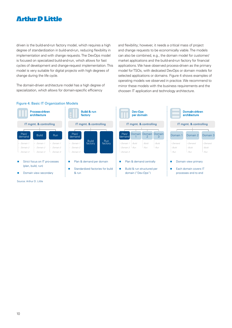driven is the build-and-run factory model, which requires a high degree of standardization in build-and-run, reducing flexibility in implementation and with change requests. The DevOps model is focused on specialized build-and-run, which allows for fast cycles of development and change-request implementation. This model is very suitable for digital projects with high degrees of change during the life cycle.

The domain-driven architecture model has a high degree of specialization, which allows for domain-specific efficiency

and flexibility; however, it needs a critical mass of project and change requests to be economically viable. The models can also be combined, e.g., the domain model for customer/ market applications and the build-and-run factory for financial applications. We have observed process-driven as the primary model for TSOs, with dedicated DevOps or domain models for selected applications or domains. Figure 4 shows examples of operating models we observed in practice. We recommend to mirror these models with the business requirements and the choosen IT application and technology architecture.

## Figure 4: Basic IT Organization Models



- Strict focus on IT pro-cesses (plan, build, run)
- Domain view secondary

Source: Arthur D. Little



- Plan & demand per domain
- Standardized factories for build & run



■ Build & run structured per domain ("Dev-Ops")



- Domain view primary
- Each domain covers IT processes end to end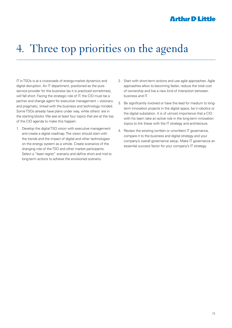## 4. Three top priorities on the agenda

IT in TSOs is at a crossroads of energy-market dynamics and digital disruption. An IT department, positioned as the pure service provider for the business (as it is practiced sometimes), will fall short. Facing the strategic role of IT, the CIO must be a partner and change agent for executive management – visionary and pragmatic, linked with the business and technology minded. Some TSOs already have plans under way, while others' are in the starting blocks. We see at least four topics that are at the top of the CIO agenda to make this happen:

- 1. Develop the digital TSO vision with executive management and create a digital roadmap. The vision should start with the trends and the impact of digital and other technologies on the energy system as a whole. Create scenarios of the changing role of the TSO and other market participants. Select a "least regret" scenario and define short and mid to long-term actions to achieve the envisioned scenario.
- 2. Start with short-term actions and use agile approaches. Agile approaches allow to becoming faster, reduce the total cost of ownership and live a new kind of interaction between business and IT.
- 3. Be significantly involved or have the lead for medium to longterm innovation projects in the digital space, be it robotics or the digital substation. It is of utmost importance that a CIO with his team take an active role in the long-term innovation topics to link these with the IT strategy and architecture.
- 4. Review the existing (written or unwritten) IT governance, compare it to the business and digital strategy and your company's overall governance setup. Make IT governance an essential success factor for your company's IT strategy.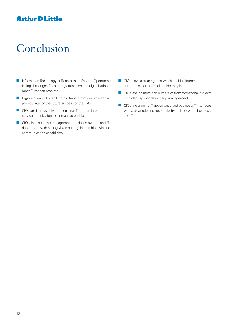## Conclusion

- $\blacksquare$  Information Technology at Transmission System Operators is facing challenges from energy transition and digitalization in most European markets.
- $\blacksquare$  Digitalization will push IT into a transformational role and a prerequisite for the future success of the TSO.
- $\blacksquare$  CIOs are increasingly transforming IT from an internal service organization to a proactive enabler.
- $\Box$  CIOs link executive management, business owners and IT department with strong vision setting, leadership style and communication capabilities.
- $\Box$  CIOs have a clear agenda which enables internal communication and stakeholder buy-in.
- $\blacksquare$  CIOs are initiators and owners of transformational projects with clear sponsorship in top management.
- CIOs are aligning IT governance and business/IT interfaces with a clear role and responsibility split between business and IT.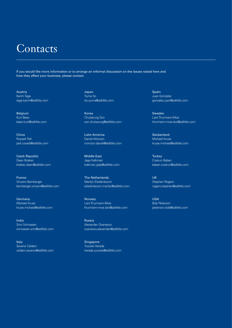## **Contacts**

If you would like more information or to arrange an informal discussion on the issues raised here and how they affect your business, please contact:

Austria Karim Taga taga.karim@adlittle.com

Belgium Kurt Baes baes.kurt@adlittle.com

China Russell Pell pell.russell@adlittle.com

Czech Republic Dean Brabec brabec.dean@adlittle.com

France Vincent Bamberger bamberger.vincent@adlittle.com

**Germany** Michael Kruse kruse.michael@adlittle.com

India Srini Srinivasan srinivasan.srini@adlittle.com

Italy Saverio Caldani caldani.saverio@adlittle.com Japan Yuma Ito ito.yuma@adlittle.com

Korea Chulseung Son son.chulseung@adlittle.com

Latin America Daniel Monzon monzon.daniel@adlittle.com

Middle East Jaap Kalkman kalkman.jaap@adlittle.com

The Netherlands Martijn Eikelenboom eikelenboom.martijn@adlittle.com

Norway Lars Thurmann-Moe thurmann-moe.lars@adlittle.com

Russia Alexander Ovanesov ovanesov.alexander@adlittle.com

**Singapore** Yusuke Harada harada.yusuke@adlittle.com Spain Juan Gonzalez gonzalez.juan@adlittle.com

Sweden Lars Thurmann-Moe thurmann-moe.lars@adlittle.com

Switzerland Michael Kruse kruse.michael@adlittle.com

**Turkey** Coskun Baban baban.coskun@adlittle.com

UK Stephen Rogers rogers.stephen@adlittle.com

USA Bob Peterson peterson.bob@adlittle.com